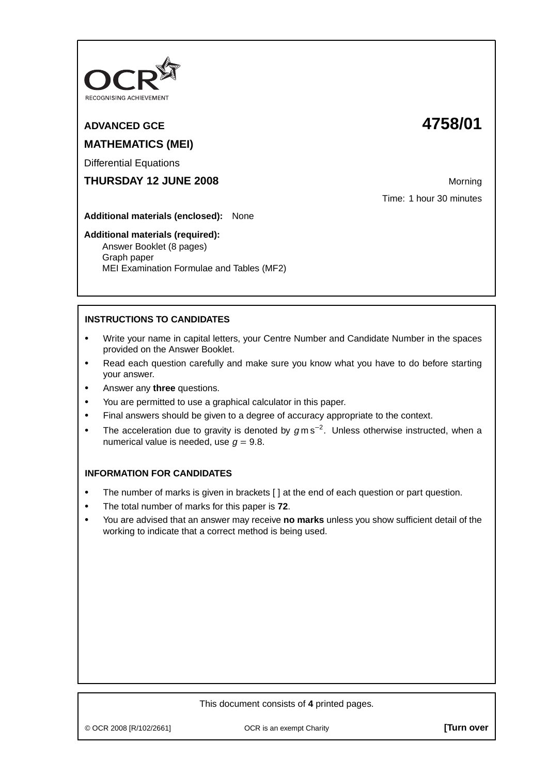

# **ADVANCED GCE 4758/01 MATHEMATICS (MEI)**

Differential Equations

**THURSDAY 12 JUNE 2008** Morning

Time: 1 hour 30 minutes

**Additional materials (enclosed):** None

#### **Additional materials (required):**

Answer Booklet (8 pages) Graph paper MEI Examination Formulae and Tables (MF2)

## **INSTRUCTIONS TO CANDIDATES**

- **•** Write your name in capital letters, your Centre Number and Candidate Number in the spaces provided on the Answer Booklet.
- **•** Read each question carefully and make sure you know what you have to do before starting your answer.
- **•** Answer any **three** questions.
- **•** You are permitted to use a graphical calculator in this paper.
- **•** Final answers should be given to a degree of accuracy appropriate to the context.
- **•** The acceleration due to gravity is denoted by <sup>g</sup> m s−<sup>2</sup> . Unless otherwise instructed, when a numerical value is needed, use  $q = 9.8$ .

## **INFORMATION FOR CANDIDATES**

- The number of marks is given in brackets [ ] at the end of each question or part question.
- **•** The total number of marks for this paper is **72**.
- **•** You are advised that an answer may receive **no marks** unless you show sufficient detail of the working to indicate that a correct method is being used.

## This document consists of **4** printed pages.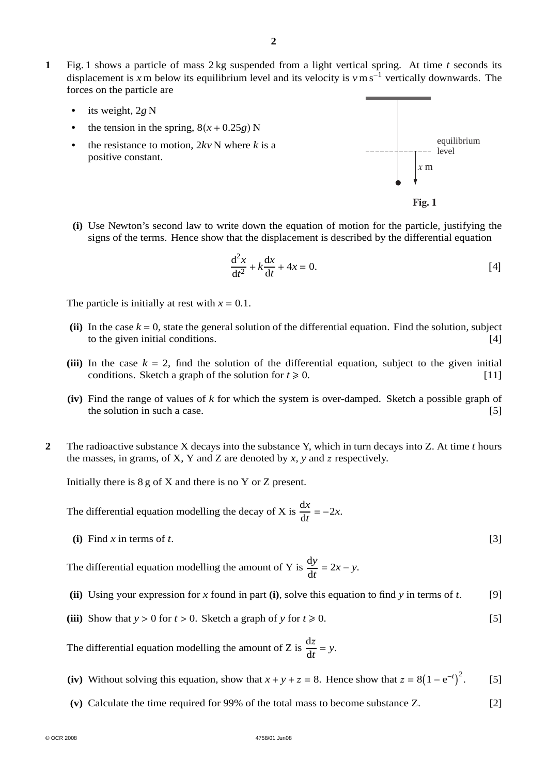- **1** Fig. 1 shows a particle of mass 2 kg suspended from a light vertical spring. At time *t* seconds its displacement is *x* m below its equilibrium level and its velocity is *v*m s<sup>−</sup><sup>1</sup> vertically downwards. The forces on the particle are
	- **•** its weight, 2*g* N
	- the tension in the spring,  $8(x + 0.25g)$  N
	- the resistance to motion,  $2kyN$  where *k* is a positive constant.





**(i)** Use Newton's second law to write down the equation of motion for the particle, justifying the signs of the terms. Hence show that the displacement is described by the differential equation

$$
\frac{\mathrm{d}^2 x}{\mathrm{d}t^2} + k \frac{\mathrm{d}x}{\mathrm{d}t} + 4x = 0.
$$
 [4]

The particle is initially at rest with  $x = 0.1$ .

- (ii) In the case  $k = 0$ , state the general solution of the differential equation. Find the solution, subject to the given initial conditions. to the given initial conditions.
- **(iii)** In the case  $k = 2$ , find the solution of the differential equation, subject to the given initial conditions. Sketch a graph of the solution for  $t \ge 0$ . [11]
- **(iv)** Find the range of values of *k* for which the system is over-damped. Sketch a possible graph of the solution in such a case. [5]
- **2** The radioactive substance X decays into the substance Y, which in turn decays into Z. At time *t* hours the masses, in grams, of  $X$ ,  $Y$  and  $Z$  are denoted by  $x$ ,  $y$  and  $z$  respectively.

Initially there is 8 g of X and there is no Y or Z present.

The differential equation modelling the decay of X is  $\frac{dx}{dt} = -2x$ .

**(i)** Find *x* in terms of *t*. [3]

The differential equation modelling the amount of Y is  $\frac{dy}{dt} = 2x - y$ .

- **(ii)** Using your expression for *x* found in part **(i)**, solve this equation to find *y* in terms of *t*. [9]
- (iii) Show that  $y > 0$  for  $t > 0$ . Sketch a graph of *y* for  $t \ge 0$ . [5]

The differential equation modelling the amount of Z is  $\frac{dz}{dt}$  $\frac{dz}{dt} = y.$ 

- (iv) Without solving this equation, show that  $x + y + z = 8$ . Hence show that  $z = 8(1 e^{-t})^2$ . [5]
- **(v)** Calculate the time required for 99% of the total mass to become substance Z. [2]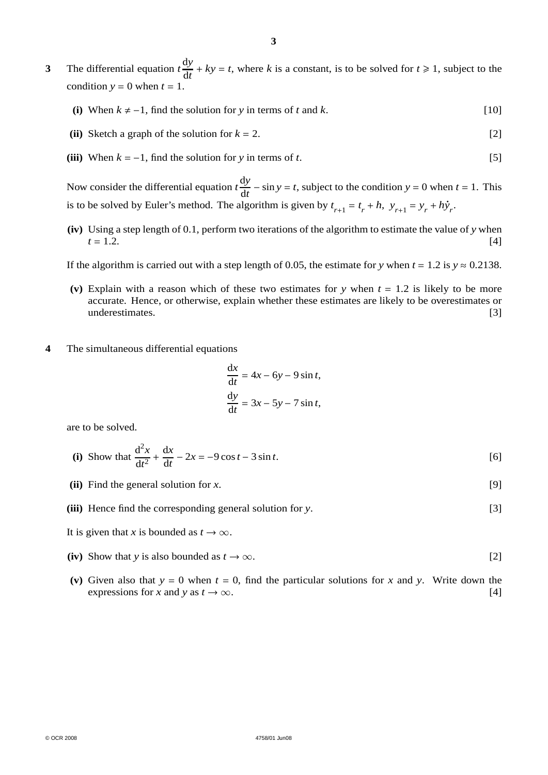- **3** The differential equation  $t \frac{dy}{dt}$  $\frac{dy}{dt}$  +  $ky = t$ , where *k* is a constant, is to be solved for  $t \ge 1$ , subject to the condition  $y = 0$  when  $t = 1$ .
	- (i) When  $k \neq -1$ , find the solution for *y* in terms of *t* and *k*. [10]
	- **(ii)** Sketch a graph of the solution for  $k = 2$ . [2]
	- **(iii)** When  $k = -1$ , find the solution for *y* in terms of *t*. [5]

Now consider the differential equation  $t \frac{dy}{dt}$  $\frac{dy}{dt}$  – sin *y* = *t*, subject to the condition *y* = 0 when *t* = 1. This is to be solved by Euler's method. The algorithm is given by  $t_{r+1} = t_r + h$ ,  $y_{r+1} = y_r + h\dot{y}_r$ .

**(iv)** Using a step length of 0.1, perform two iterations of the algorithm to estimate the value of *y* when  $t = 1.2.$  [4]

If the algorithm is carried out with a step length of 0.05, the estimate for *y* when  $t = 1.2$  is  $y \approx 0.2138$ .

- **(v)** Explain with a reason which of these two estimates for *y* when *t* = 1.2 is likely to be more accurate. Hence, or otherwise, explain whether these estimates are likely to be overestimates or underestimates. [3]
- **4** The simultaneous differential equations

$$
\frac{dx}{dt} = 4x - 6y - 9\sin t,
$$
  

$$
\frac{dy}{dt} = 3x - 5y - 7\sin t,
$$

are to be solved.

(i) Show that 
$$
\frac{d^2x}{dt^2} + \frac{dx}{dt} - 2x = -9\cos t - 3\sin t
$$
. [6]

**(ii)** Find the general solution for *x*. [9]

**(iii)** Hence find the corresponding general solution for *y*. [3]

- It is given that *x* is bounded as  $t \to \infty$ .
- **(iv)** Show that *y* is also bounded as  $t \to \infty$ . [2]
- (v) Given also that  $y = 0$  when  $t = 0$ , find the particular solutions for *x* and *y*. Write down the expressions for *x* and *y* as  $t \to \infty$ . [4]